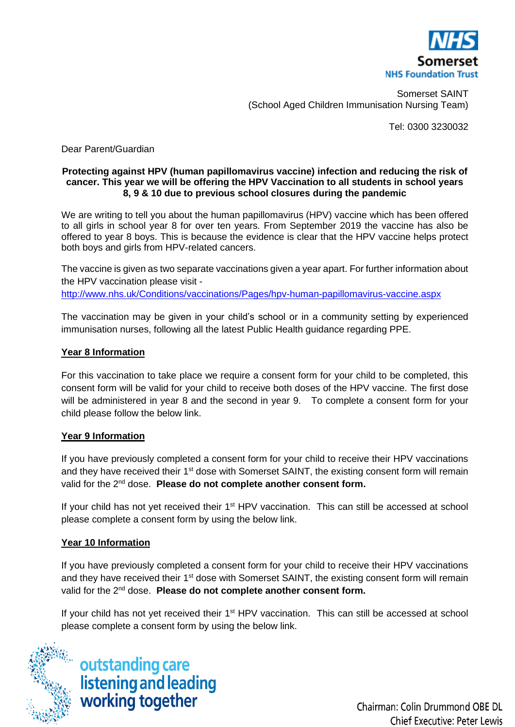

Somerset SAINT (School Aged Children Immunisation Nursing Team)

Tel: 0300 3230032

Dear Parent/Guardian

#### **Protecting against HPV (human papillomavirus vaccine) infection and reducing the risk of cancer. This year we will be offering the HPV Vaccination to all students in school years 8, 9 & 10 due to previous school closures during the pandemic**

We are writing to tell you about the human papillomavirus (HPV) vaccine which has been offered to all girls in school year 8 for over ten years. From September 2019 the vaccine has also be offered to year 8 boys. This is because the evidence is clear that the HPV vaccine helps protect both boys and girls from HPV-related cancers.

The vaccine is given as two separate vaccinations given a year apart. For further information about the HPV vaccination please visit <http://www.nhs.uk/Conditions/vaccinations/Pages/hpv-human-papillomavirus-vaccine.aspx>

The vaccination may be given in your child's school or in a community setting by experienced immunisation nurses, following all the latest Public Health guidance regarding PPE.

### **Year 8 Information**

For this vaccination to take place we require a consent form for your child to be completed, this consent form will be valid for your child to receive both doses of the HPV vaccine. The first dose will be administered in year 8 and the second in year 9. To complete a consent form for your child please follow the below link.

### **Year 9 Information**

If you have previously completed a consent form for your child to receive their HPV vaccinations and they have received their 1<sup>st</sup> dose with Somerset SAINT, the existing consent form will remain valid for the 2nd dose. **Please do not complete another consent form.** 

If your child has not yet received their 1<sup>st</sup> HPV vaccination. This can still be accessed at school please complete a consent form by using the below link.

### **Year 10 Information**

If you have previously completed a consent form for your child to receive their HPV vaccinations and they have received their 1<sup>st</sup> dose with Somerset SAINT, the existing consent form will remain valid for the 2nd dose. **Please do not complete another consent form.** 

If your child has not yet received their 1<sup>st</sup> HPV vaccination. This can still be accessed at school please complete a consent form by using the below link.



outstanding care<br>listening and leading<br>working together